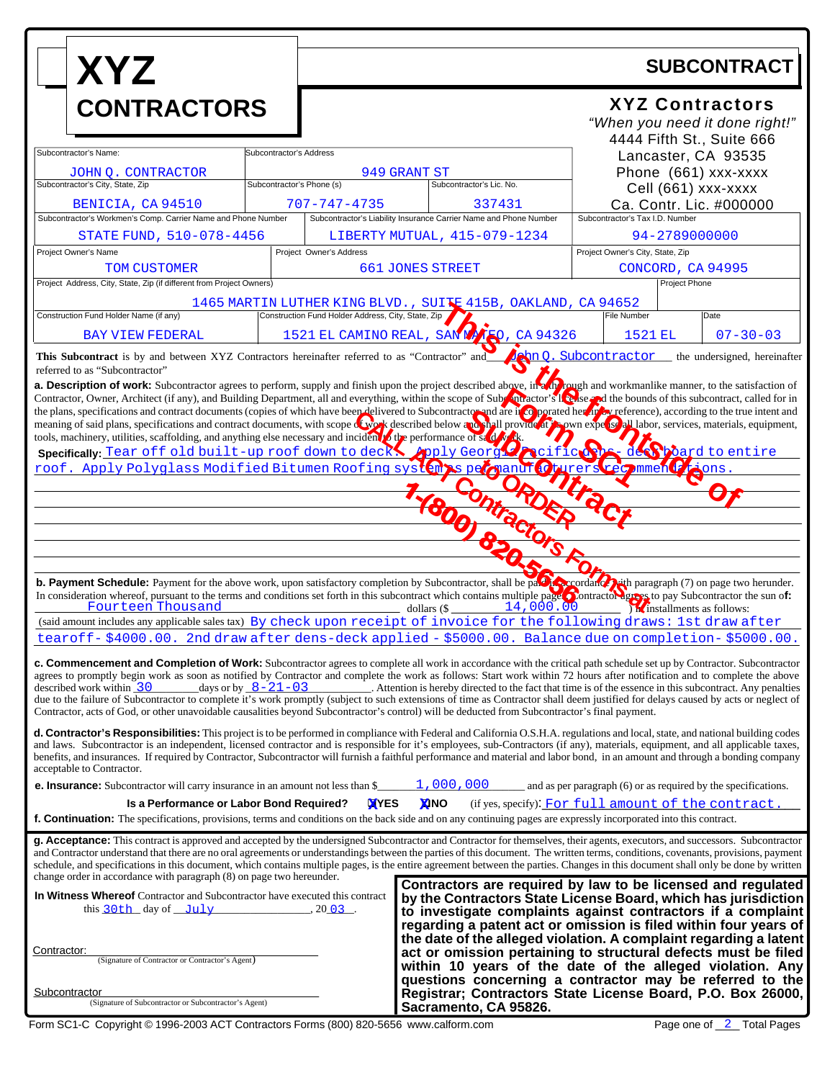| <b>XYZ</b><br><b>CONTRACTORS</b>                                                                                                                                                                                                                                                                                                                                                                                                                                                                                                                                                                                                                                                                                                                                                                                                                                    |                                                                                                                                                                | <b>SUBCONTRACT</b>                                                                                                           |                          |                        |                                                                                                                                                                                                  |                                                                                                                                                                                                                                                                    |  |
|---------------------------------------------------------------------------------------------------------------------------------------------------------------------------------------------------------------------------------------------------------------------------------------------------------------------------------------------------------------------------------------------------------------------------------------------------------------------------------------------------------------------------------------------------------------------------------------------------------------------------------------------------------------------------------------------------------------------------------------------------------------------------------------------------------------------------------------------------------------------|----------------------------------------------------------------------------------------------------------------------------------------------------------------|------------------------------------------------------------------------------------------------------------------------------|--------------------------|------------------------|--------------------------------------------------------------------------------------------------------------------------------------------------------------------------------------------------|--------------------------------------------------------------------------------------------------------------------------------------------------------------------------------------------------------------------------------------------------------------------|--|
|                                                                                                                                                                                                                                                                                                                                                                                                                                                                                                                                                                                                                                                                                                                                                                                                                                                                     |                                                                                                                                                                | <b>XYZ Contractors</b><br>"When you need it done right!"                                                                     |                          |                        |                                                                                                                                                                                                  |                                                                                                                                                                                                                                                                    |  |
| Subcontractor's Name:<br>JOHN Q. CONTRACTOR                                                                                                                                                                                                                                                                                                                                                                                                                                                                                                                                                                                                                                                                                                                                                                                                                         |                                                                                                                                                                | Subcontractor's Address<br>949 GRANT ST                                                                                      |                          |                        |                                                                                                                                                                                                  | 4444 Fifth St., Suite 666<br>Lancaster, CA 93535<br>Phone (661) xxx-xxxx                                                                                                                                                                                           |  |
| Subcontractor's City, State, Zip<br>BENICIA, CA 94510<br>Subcontractor's Workmen's Comp. Carrier Name and Phone Number                                                                                                                                                                                                                                                                                                                                                                                                                                                                                                                                                                                                                                                                                                                                              | Subcontractor's Phone (s)                                                                                                                                      | 707-747-4735                                                                                                                 | Subcontractor's Lic. No. | 337431                 | Cell (661) xxx-xxxx<br>Ca. Contr. Lic. #000000<br>Subcontractor's Tax I.D. Number                                                                                                                |                                                                                                                                                                                                                                                                    |  |
| STATE FUND, 510-078-4456<br>Project Owner's Name                                                                                                                                                                                                                                                                                                                                                                                                                                                                                                                                                                                                                                                                                                                                                                                                                    |                                                                                                                                                                | Subcontractor's Liability Insurance Carrier Name and Phone Number<br>LIBERTY MUTUAL, 415-079-1234<br>Project Owner's Address |                          |                        | 94-2789000000<br>Project Owner's City, State, Zip                                                                                                                                                |                                                                                                                                                                                                                                                                    |  |
| TOM CUSTOMER<br><b>661 JONES STREET</b><br>Project Address, City, State, Zip (if different from Project Owners)                                                                                                                                                                                                                                                                                                                                                                                                                                                                                                                                                                                                                                                                                                                                                     |                                                                                                                                                                |                                                                                                                              |                          |                        | CONCORD, CA 94995<br>Project Phone                                                                                                                                                               |                                                                                                                                                                                                                                                                    |  |
| Construction Fund Holder Name (if any)<br><b>BAY VIEW FEDERAL</b>                                                                                                                                                                                                                                                                                                                                                                                                                                                                                                                                                                                                                                                                                                                                                                                                   | 1465 MARTIN LUTHER KING BLVD., SUITE 415B, OAKLAND, CA 94652<br>Construction Fund Holder Address, City, State, Zip<br>1521 EL CAMINO REAL, SAN MATRO, CA 94326 |                                                                                                                              |                          | File Number<br>1521 EL | Date<br>$07 - 30 - 03$                                                                                                                                                                           |                                                                                                                                                                                                                                                                    |  |
| <b>John Q. Subcontractor</b> the undersigned, hereinafter<br>This Subcontract is by and between XYZ Contractors hereinafter referred to as "Contractor" and<br>referred to as "Subcontractor"                                                                                                                                                                                                                                                                                                                                                                                                                                                                                                                                                                                                                                                                       |                                                                                                                                                                |                                                                                                                              |                          |                        |                                                                                                                                                                                                  |                                                                                                                                                                                                                                                                    |  |
| a. Description of work: Subcontractor agrees to perform, supply and finish upon the project described above, in a move in a morkmanlike manner, to the satisfaction of<br>Contractor, Owner, Architect (if any), and Building Department, all and everything, within the scope of Subsection's located for in<br>the plans, specifications and contract documents (copies of which have been delivered to Subcontractor and are in copporated her in Covered in Cover and presented between a contract documents, with scope of work described<br>tools, machinery, utilities, scaffolding, and anything else necessary and incident to the performance of start<br>Specifically Tear off old built-up roof down to deck youly George neificto<br>dect board to entire<br>rers rec mmen                                                                             |                                                                                                                                                                |                                                                                                                              |                          |                        |                                                                                                                                                                                                  |                                                                                                                                                                                                                                                                    |  |
|                                                                                                                                                                                                                                                                                                                                                                                                                                                                                                                                                                                                                                                                                                                                                                                                                                                                     |                                                                                                                                                                |                                                                                                                              |                          |                        |                                                                                                                                                                                                  |                                                                                                                                                                                                                                                                    |  |
| Specifically: Tear of t old built-up root aown to deck by the person of the person of the person of the person of the person of the person of the person of the person of the person of the person of the person of the person                                                                                                                                                                                                                                                                                                                                                                                                                                                                                                                                                                                                                                      |                                                                                                                                                                |                                                                                                                              |                          |                        |                                                                                                                                                                                                  |                                                                                                                                                                                                                                                                    |  |
| <b>b. Payment Schedule:</b> Payment for the above work, upon satisfactory completion by Subcontractor, shall be payment of the paragraph (7) on page two herunder.<br>In consideration whereof, pursuant to the terms and conditions s<br>14,000.00<br>Fourteen Thousand<br>$\frac{1}{\text{dollars}}$ (\$<br><i>Inclusion</i> installments as follows:                                                                                                                                                                                                                                                                                                                                                                                                                                                                                                             |                                                                                                                                                                |                                                                                                                              |                          |                        |                                                                                                                                                                                                  |                                                                                                                                                                                                                                                                    |  |
| (said amount includes any applicable sales tax) By check upon receipt of invoice for the following draws: 1st draw after<br>tearoff-\$4000.00. 2nd draw after dens-deck applied - \$5000.00. Balance due on completion-\$5000.00.                                                                                                                                                                                                                                                                                                                                                                                                                                                                                                                                                                                                                                   |                                                                                                                                                                |                                                                                                                              |                          |                        |                                                                                                                                                                                                  |                                                                                                                                                                                                                                                                    |  |
| c. Commencement and Completion of Work: Subcontractor agrees to complete all work in accordance with the critical path schedule set up by Contractor. Subcontractor<br>agrees to promptly begin work as soon as notified by Contractor and complete the work as follows: Start work within 72 hours after notification and to complete the above<br>days or by $8-21-03$<br>described work within $\overline{30}$<br>Attention is hereby directed to the fact that time is of the essence in this subcontract. Any penalties<br>due to the failure of Subcontractor to complete it's work promptly (subject to such extensions of time as Contractor shall deem justified for delays caused by acts or neglect of<br>Contractor, acts of God, or other unavoidable causalities beyond Subcontractor's control) will be deducted from Subcontractor's final payment. |                                                                                                                                                                |                                                                                                                              |                          |                        |                                                                                                                                                                                                  |                                                                                                                                                                                                                                                                    |  |
| d. Contractor's Responsibilities: This project is to be performed in compliance with Federal and California O.S.H.A. regulations and local, state, and national building codes<br>and laws. Subcontractor is an independent, licensed contractor and is responsible for it's employees, sub-Contractors (if any), materials, equipment, and all applicable taxes,<br>benefits, and insurances. If required by Contractor, Subcontractor will furnish a faithful performance and material and labor bond, in an amount and through a bonding company<br>acceptable to Contractor.                                                                                                                                                                                                                                                                                    |                                                                                                                                                                |                                                                                                                              |                          |                        |                                                                                                                                                                                                  |                                                                                                                                                                                                                                                                    |  |
| <b>e. Insurance:</b> Subcontractor will carry insurance in an amount not less than \$<br>Is a Performance or Labor Bond Required?                                                                                                                                                                                                                                                                                                                                                                                                                                                                                                                                                                                                                                                                                                                                   |                                                                                                                                                                | <b>XYES</b>                                                                                                                  | 1,000,000<br><b>XINO</b> |                        |                                                                                                                                                                                                  | and as per paragraph (6) or as required by the specifications.<br>(if yes, specify): For full amount of the contract                                                                                                                                               |  |
| f. Continuation: The specifications, provisions, terms and conditions on the back side and on any continuing pages are expressly incorporated into this contract.                                                                                                                                                                                                                                                                                                                                                                                                                                                                                                                                                                                                                                                                                                   |                                                                                                                                                                |                                                                                                                              |                          |                        |                                                                                                                                                                                                  |                                                                                                                                                                                                                                                                    |  |
| g. Acceptance: This contract is approved and accepted by the undersigned Subcontractor and Contractor for themselves, their agents, executors, and successors. Subcontractor<br>and Contractor understand that there are no oral agreements or understandings between the parties of this document. The written terms, conditions, covenants, provisions, payment<br>schedule, and specifications in this document, which contains multiple pages, is the entire agreement between the parties. Changes in this document shall only be done by written<br>change order in accordance with paragraph (8) on page two hereunder.                                                                                                                                                                                                                                      |                                                                                                                                                                |                                                                                                                              |                          |                        |                                                                                                                                                                                                  |                                                                                                                                                                                                                                                                    |  |
| In Witness Whereof Contractor and Subcontractor have executed this contract<br>this $30th$ day of $July$                                                                                                                                                                                                                                                                                                                                                                                                                                                                                                                                                                                                                                                                                                                                                            |                                                                                                                                                                | $, 20$ 03.                                                                                                                   |                          |                        |                                                                                                                                                                                                  | Contractors are required by law to be licensed and regulated<br>by the Contractors State License Board, which has jurisdiction<br>to investigate complaints against contractors if a complaint<br>regarding a patent act or omission is filed within four years of |  |
| Contractor:<br>(Signature of Contractor or Contractor's Agent)                                                                                                                                                                                                                                                                                                                                                                                                                                                                                                                                                                                                                                                                                                                                                                                                      |                                                                                                                                                                |                                                                                                                              |                          |                        | the date of the alleged violation. A complaint regarding a latent<br>act or omission pertaining to structural defects must be filed<br>within 10 years of the date of the alleged violation. Any |                                                                                                                                                                                                                                                                    |  |
| <b>Subcontractor</b><br>(Signature of Subcontractor or Subcontractor's Agent)                                                                                                                                                                                                                                                                                                                                                                                                                                                                                                                                                                                                                                                                                                                                                                                       |                                                                                                                                                                | Sacramento, CA 95826.                                                                                                        |                          |                        | questions concerning a contractor may be referred to the<br>Registrar; Contractors State License Board, P.O. Box 26000,                                                                          |                                                                                                                                                                                                                                                                    |  |